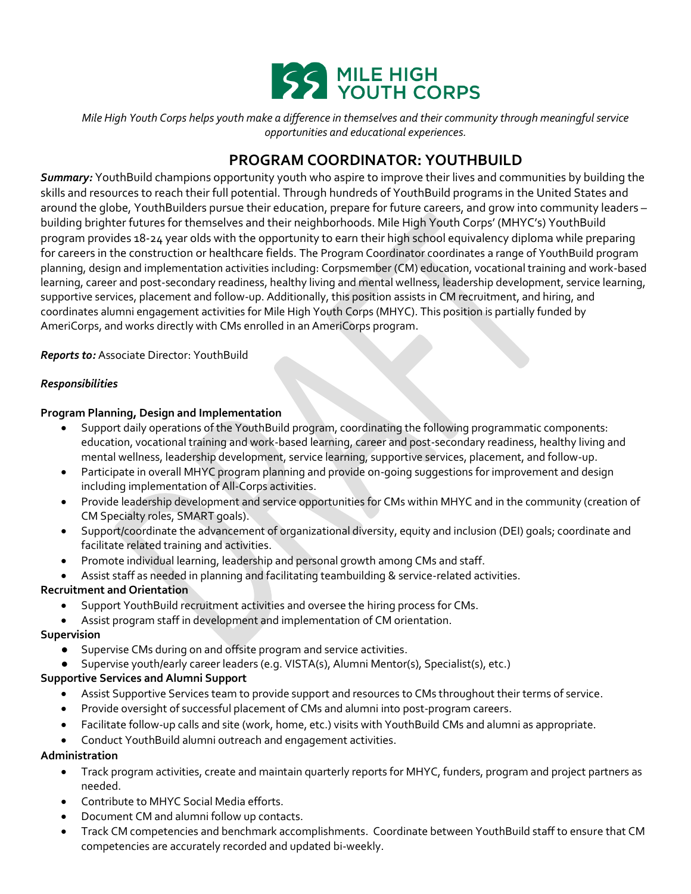

*Mile High Youth Corps helps youth make a difference in themselves and their community through meaningful service opportunities and educational experiences.*

# **PROGRAM COORDINATOR: YOUTHBUILD**

*Summary:* YouthBuild champions opportunity youth who aspire to improve their lives and communities by building the skills and resources to reach their full potential. Through hundreds of YouthBuild programs in the United States and around the globe, YouthBuilders pursue their education, prepare for future careers, and grow into community leaders – building brighter futures for themselves and their neighborhoods. Mile High Youth Corps' (MHYC's) YouthBuild program provides 18-24 year olds with the opportunity to earn their high school equivalency diploma while preparing for careers in the construction or healthcare fields. The Program Coordinator coordinates a range of YouthBuild program planning, design and implementation activities including: Corpsmember (CM) education, vocational training and work-based learning, career and post-secondary readiness, healthy living and mental wellness, leadership development, service learning, supportive services, placement and follow-up. Additionally, this position assists in CM recruitment, and hiring, and coordinates alumni engagement activities for Mile High Youth Corps (MHYC). This position is partially funded by AmeriCorps, and works directly with CMs enrolled in an AmeriCorps program.

*Reports to:* Associate Director: YouthBuild

#### *Responsibilities*

# **Program Planning, Design and Implementation**

- Support daily operations of the YouthBuild program, coordinating the following programmatic components: education, vocational training and work-based learning, career and post-secondary readiness, healthy living and mental wellness, leadership development, service learning, supportive services, placement, and follow-up.
- Participate in overall MHYC program planning and provide on-going suggestions for improvement and design including implementation of All-Corps activities.
- Provide leadership development and service opportunities for CMs within MHYC and in the community (creation of CM Specialty roles, SMART goals).
- Support/coordinate the advancement of organizational diversity, equity and inclusion (DEI) goals; coordinate and facilitate related training and activities.
- Promote individual learning, leadership and personal growth among CMs and staff.
- Assist staff as needed in planning and facilitating teambuilding & service-related activities.

# **Recruitment and Orientation**

- Support YouthBuild recruitment activities and oversee the hiring process for CMs.
- Assist program staff in development and implementation of CM orientation.

#### **Supervision**

- Supervise CMs during on and offsite program and service activities.
- Supervise youth/early career leaders (e.g. VISTA(s), Alumni Mentor(s), Specialist(s), etc.)

#### **Supportive Services and Alumni Support**

- Assist Supportive Services team to provide support and resources to CMs throughout their terms of service.
- Provide oversight of successful placement of CMs and alumni into post-program careers.
- Facilitate follow-up calls and site (work, home, etc.) visits with YouthBuild CMs and alumni as appropriate.
- Conduct YouthBuild alumni outreach and engagement activities.

#### **Administration**

- Track program activities, create and maintain quarterly reports for MHYC, funders, program and project partners as needed.
- Contribute to MHYC Social Media efforts.
- Document CM and alumni follow up contacts.
- Track CM competencies and benchmark accomplishments. Coordinate between YouthBuild staff to ensure that CM competencies are accurately recorded and updated bi-weekly.